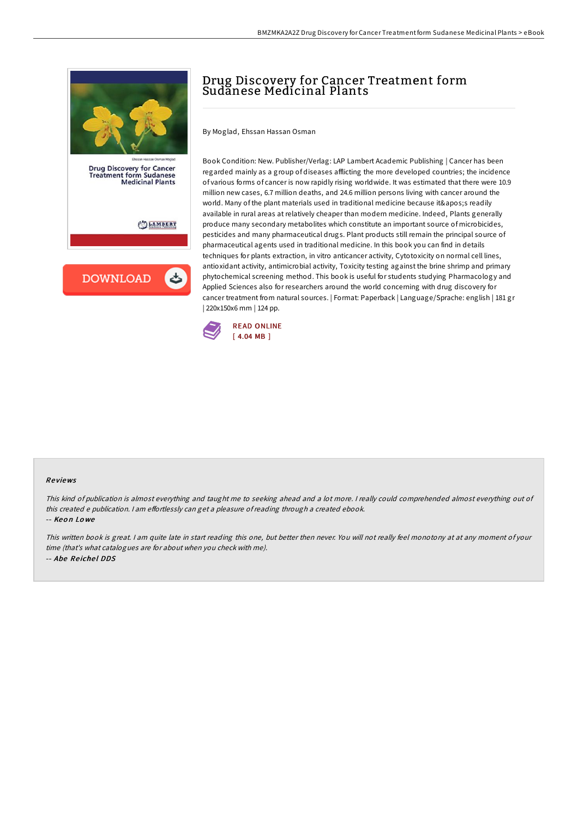

**Drug Discovery for Cancer** Treatment form Sudanese<br>Medicinal Plants

LAMBERT

**DOWNLOAD** 

## Drug Discovery for Cancer Treatment form Sudanese Medicinal Plants

By Moglad, Ehssan Hassan Osman

Book Condition: New. Publisher/Verlag: LAP Lambert Academic Publishing | Cancer has been regarded mainly as a group of diseases afflicting the more developed countries; the incidence of various forms of cancer is now rapidly rising worldwide. It was estimated that there were 10.9 million new cases, 6.7 million deaths, and 24.6 million persons living with cancer around the world. Many of the plant materials used in traditional medicine because it's readily available in rural areas at relatively cheaper than modern medicine. Indeed, Plants generally produce many secondary metabolites which constitute an important source of microbicides, pesticides and many pharmaceutical drugs. Plant products still remain the principal source of pharmaceutical agents used in traditional medicine. In this book you can find in details techniques for plants extraction, in vitro anticancer activity, Cytotoxicity on normal cell lines, antioxidant activity, antimicrobial activity, Toxicity testing against the brine shrimp and primary phytochemical screening method. This book is useful for students studying Pharmacology and Applied Sciences also for researchers around the world concerning with drug discovery for cancer treatment from natural sources. | Format: Paperback | Language/Sprache: english | 181 gr | 220x150x6 mm | 124 pp.



## Re views

This kind of publication is almost everything and taught me to seeking ahead and <sup>a</sup> lot more. <sup>I</sup> really could comprehended almost everything out of this created e publication. I am effortlessly can get a pleasure of reading through a created ebook.

-- Keo n Lo we

This written book is great. <sup>I</sup> am quite late in start reading this one, but better then never. You will not really feel monotony at at any moment of your time (that's what catalogues are for about when you check with me). -- Abe Reichel DDS